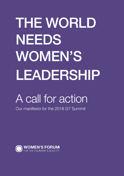# THE WORLD NEEDS WOMEN'S LEADERSHIP

## A call for action

Our manifesto for the 2018 G7 Summit

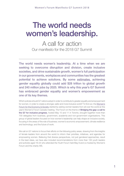## The world needs women's leadership.

A call for action Our manifesto for the 2018 G7 Summit

The world needs women's leadership. At a time when we are seeking to overcome disruption and division, create inclusive societies, and drive sustainable growth, women's full participation in our governments, workplaces and communities has the greatest potential to achieve solutions. By some [estimates,](https://www.mckinsey.com/featured-insights/employment-and-growth/how-advancing-womens-equality-can-add-12-trillion-to-global-growth) achieving gender equality globally could add \$28 trillion to global growth and 240 million jobs by 2025. Which is why this year's G7 Summit has embraced gender equality and women's empowerment as one of its key themes.

Which policies should G7 nations adopt in order to contribute to greater equality and empowerment for women, in order to create a stronger, safer and more inclusive world? To find out, the [Women's](http://www.womens-forum.com) [Forum for the Economy & Society](http://www.womens-forum.com) started by asking women leaders from all over the world at this year's Women's Forum Canada meeting. The Forum on the theme of Bridging the gap: a call to the G7 for inclusive progress, hosted May 10 and 11 in Toronto, brought together more than 700 delegates from business, government, academia and non-government organisations. This group of global leaders focused on how women's leadership can help shape an inclusive society, focusing in the areas of the role of business; women's economic empowerment; climate resilience and technology; and the future of work.

We call on G7 nations to focus their efforts on the following policy areas, drawing from the insights of female leaders from around the world to inform their priorities, initiatives, and agendas for empowering women. Believing that diverse perspectives, not just gendered approaches, result in the best ideas, we have also included recommendations from more than 100 youth leaders and activists aged 16-24 who attended the Youth Forum held May 9 and co-hosted by Women's Forum and the charity WE.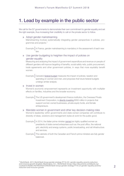## 1. Lead by example in the public sector

We call for the G7 governments to demonstrate their own commitment to gender equality and set the right example, thus increasing their credibility to call on the private sector to follow.

#### » Adopt gender mainstreaming

Mainstreaming involves systematically integrating gender perspectives in policies, programmes and projects.1

Example | In France, gender mainstreaming is mandatory in the assessment of each new law.

#### » Use gender budgeting to heighten the impact of policies on gender equality

Measuring and analysing the impact of government expenditure and revenue on people of different genders will improve targeting of benefits, social safety nets, public procurement, trade agreements and other government policies, in ways that more equitably benefit women.

Example | Canada's [federal budget](https://www.budget.gc.ca/2018/docs/plan/chap-05-en.html) measures the impact of policies, taxation and spending on women and men, and proposes that future federal budgets undergo similar analysis.

#### » Invest in women

Women's economic empowerment represents an investment opportunity with multiplier effects on families, industries and the broader economy.

- Example | The US government's development finance institution, the Overseas Private Investment Corporation, is [directly investing](https://www.opic.gov/press-releases/2018/opic-unveils-2x-womens-initiative-mobilize-more-1-billion-invest-worlds-women) \$350 million in projects that support women-owned businesses, private equity funds, and female entrepreneurs.
- » Mandate women in government and other key decision-making roles Women's leadership within governments and state-owned companies will contribute to diversity of ideas, solutions and management styles at work for the public good.
	- Example | In 2014, the Italian prime minister [named](https://www.independent.co.uk/news/world/europe/italy-s-new-pm-matteo-renzi-appoints-women-to-lead-major-state-companies-in-a-bid-to-consign-sexism-9262992.html) six highly qualified women as presidents of state-owned enterprises such as: the post office, the national grid, electricity and energy systems, public broadcasting, and rail infrastructure and services.
	- Example | The cabinets of both the Canadian and French prime ministers are fully gender balanced.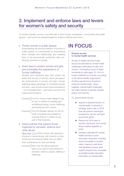## 2. Implement and enforce laws and levers for women's safety and security

To achieve equality, women must feel safe in their homes, workplaces, communities and public spaces – and cannot be disadvantaged by violence inflicted upon them.

#### » Protect women in public spaces

Guaranteeing the physical freedom of women in public spaces is a prerequisite for empowering them mentally and intellectually, and enabling them to be economically productive, fully contributing members of society.

#### » Enact laws to protect women and girls and criminalise the perpetrators of human trafficking

Develop and implement laws that protect the safety and security of women, which will support the advancement of women and girls. Human trafficking takes advantage of vulnerable women and girls. Laws should protect these populations – not criminalise them – and hold to account the buyers and purveyors.

- Example | In 2016, France made it illegal to pay for sex, in addition to existing laws prohibiting pimping, human trafficking and buying sex from minors.
- Example | The UK's Modern Slavery Act (2015) holds companies accountable for ensuring there is no slavery in any part of their business.

#### » Adopt policies that support those impacted by domestic violence and other abuse

[More than 1 in 3](http://www.who.int/news-room/fact-sheets/detail/violence-against-women) (35%) women will experience physical or sexual abuse, with impacts on their emotional and physical health that can affect their contributions to work and family.

Example New York City allows paid sick [leave](http://www1.nyc.gov/office-of-the-mayor/news/716-17/paid-safe-leave-new-york-city-expands-paid-leave-domestic-violence-sexual-assault-stalking) to be used for recovering from domestic violence, assault, stalking or trafficking.

## IN FOCUS

#### Expand access to mental health services

Access to health services today should be extended to mental health challenges, particularly for girls and women. The leading cause of death worldwide for girls aged 15-19 is no longer childbirth but suicide, according to the World Health Organisation. Another special focus should be maternal mental health. Taken together, mental health challenges are major barriers to gender equality, peace, and security.

#### G7 governments should:

- Appoint a Special Advisor on mental health to develop a strategic action plan in 2018 that will achieve meaningful progress for women and girls around the globe.
- $\blacktriangleright$  Reduce by 50% rates in suicide, psychosis, and mental illness-related disability by 2030.
- $\blacktriangleright$  Develop a standard for mental health services on postsecondary campuses, including doctor/counsellor to student ratios; maximum wait times; user feedback surveys; peer support programmes; and easily accessible student education information on mental health.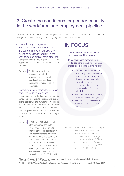## 3. Create the conditions for gender equality in the workforce and employment pipeline

Governments alone cannot achieve key goals for gender equality – although they can help create the right conditions for doing so, working together with the private sector.

- » Use voluntary or regulatory levers to challenge corporates to increase their level of transparency surrounding gender equality in the workforce and employment pipelines Transparency on gender equality within their organisations can motivate companies to improve.
	- Example | The UK requires all large companies to publicly report on gender pay gap, which has already prompted some companies to take corrective measures.

#### » Consider quotas or targets for women in corporate leadership positions

In countries where the legal environment is conducive, use targets, quotas and penalties to accelerate the numbers of women in private-sector leadership roles. This can be effective: such countries have nearly doubled the percentage of women on boards compared to countries without such regulations.

Example | In 2012 and 2013, Italian publicly listed companies and stateowned firms were required to balance gender representation in new appointments to corporate boards. By the end of June 2015, women accounted for 27.6% of all board of director members (up from 7.4% in 2011) while the percentage of companies with diverse boards rose to 98.7% of the total, up from 51.7% in 2011.2

## IN FOCUS

#### Companies should be specific in their targets and transparent

To spur continued improvement in workplace gender equality, companies should report specific targets including:

- $\triangleright$  Different types of targets: for example, gender balance rate within a team or employee division; gender balance in nominations, promotions and hires; gender balance among employees identified as highpotential)
- $\blacktriangleright$  The timescale involved: annual, multi-year, 3-year or longer
- The context: objectives and incentives for individuals or teams

Example | In 2011, France passed the Copé Zimmerman law that requires quotas for gender balance on corporate boards by the target compliance date in 2017. Since then, the percentage of women on French boards has risen to 39%, up from 12-14% in 2010.3

<sup>2</sup> Pastore & Tommaso (2016) 'Women on corporate boards. The case of gender quotas in Italy'. Corporate Ownership & Control, 13(4), Summer 2016. 3 McKinsey (2017) "Women Matter: Time to Accelerate Ten years of insights into gender diversity." October 2017.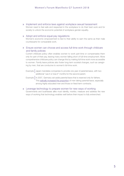» Implement and enforce laws against workplace sexual harassment Women need to feel safe and respected in the workplace to do their best work and for

society to unlock the economic potential of workplace gender equality.

#### » Adopt and enforce equal pay regulations

Women's economic empowerment is tied to their ability to earn the same as their male counterparts for comparable work.

#### » Ensure women can choose and access full-time work through childcare and family policies

Current childcare policy often enables women to work part-time or compensates them only for part of their pay, leaving many women falling short of full-time employment. More comprehensive childcare policy can change this by making full-time work more accessible to women. Family leave policies also foster long-term societal changes, such as caregiving by men, that are conducive to women's full-time work.

- Example | Japan mandates companies to provide one year of parental leave, with two additional "use it or lose it" months for the second parent.
- Example | In 2007, Germany set aside parental leave that is reserved only for fathers. This [radically increased the proportion](https://www.demogr.mpg.de/papers/working/wp-2012-021.pdf) of men taking parental leave, especially among highly educated men and those on fixed-term contracts.
- » Leverage technology to prepare women for new ways of working Governments and businesses alike must identify, monitor, measure and address the new ways of working that technology enables well before their impact is fully entrenched.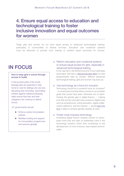## 4. Ensure equal access to education and technological training to foster inclusive innovation and equal outcomes for women

Today girls and women do not have equal access to advanced technological training, particularly in communities of diverse incomes. Education and vocational systems must be reformed to provide such training to achieve equal outcomes for women.

## IN FOCUS

#### How to keep girls in school through access to health

In the poorest parts of the world, [teenage girls are expected to stay](https://www.gavi.org/about/governance/secretariat/seth-berkley/commentaries/how-immunisation-helps-improve-education-for-girls/)  [home](https://www.gavi.org/about/governance/secretariat/seth-berkley/commentaries/how-immunisation-helps-improve-education-for-girls/) to care for siblings who are sick, disrupting their schooling. Vaccinating children against childhood illnesses helps ensure that they and their caregivers can continue to attend school.

G7 governments should:

- $\blacktriangleright$  Enforce routine immunisation policies.
- $\blacktriangleright$  Mobilise funding and support for immunisation programmes and services globally.

#### » Reform education and vocational systems to ensure equal access for girls, especially in advanced technological training

In the near term, the World Economic Forum estimates automation will have a [disproportionate effect](http://foreignpolicy.com/2017/01/16/women-vs-the-machine/) on jobs predominantly held by women. Without advanced technological training, girls and women may lose out.

#### » Use technology as a force for inclusion

Technology should be a powerful force for inclusion4 - a constructive tool that allows women to accomplish goals that would have been otherwise out of reach. Closing the gender gap in digital fluency  $-$  making sure that women and girls have access to digital tools such as smartphones, online education, digital collaboration platforms, and the internet — would [halve the](https://www.accenture.com/us-en/gender-equality-research-2016)  [time](https://www.accenture.com/us-en/gender-equality-research-2016) it takes to achieve gender equality at work.

#### » Foster more inclusive technology

Increasing digital fluency enables women to participate more fully and take on leadership roles in the technology industry, which then contributes to the development of more inclusive, less-biased technologies.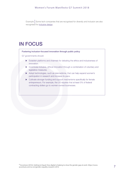Example | Some tech companies that are recognised for diversity and inclusion are also recognised for [inclusive design.](https://qz.com/542219/im-a-slack-designer-and-my-world-changed-when-i-made-an-emoji-with-brown-skin-like-mine/)

## IN FOCUS

Fostering inclusion-focused innovation through public policy

G7 governments should:

- $\blacktriangleright$  Establish platforms and channels for debating the ethics and inclusiveness of innovation.
- $\triangleright$  Incentivise inclusive, ethical innovation through a combination of voluntary and legislative measures.
- $\blacktriangleright$  Adopt technologies, such as telemedicine, that can help expand women's participation in research and increase its pace.
- $\triangleright$  Cultivate stronger funding and support mechanisms specifically for female entrepreneurs. For example, the US requires that at least 5% of federal contracting dollars go to women-owned businesses.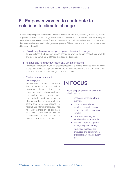## 5. Empower women to contribute to solutions to climate change

Climate change impacts men and women differently — for example, according to the UN, 80% of people displaced by climate change are women. And women and children are 14 times as likely as men to die during a natural disaster. <sup>5</sup> At the international, national, sub-national, and corporate levels, climate-focused action needs to be gender-responsive. This requires women's active involvement at all levels of policymaking.

#### » Provide legal status for people displaced by climate change

To help balance the burden of climate change on women, governments should work to provide legal status for all of those displaced by its impacts.

#### » Finance and fund gender-responsive climate initiatives

Deliberate financing and funding of gender-responsive climate initiatives, such as clean energy and climate change adaptability programs can reduce the rate at which women suffer the impact of climate change compared to men.

#### » Enable women leaders in climate policy

Governments should increase the number of women involved in developing climate policies in government and business, and support and recognise women leaders, activists and entrepreneurs who are on the frontlines of climate action, from local and regional to national and international levels. That will ensure a more diverse approach to climate negotiations as well as consideration of the impacts of climate on women and children.

## IN FOCUS

Young people's priorities for the G7 on climate change

- $\blacktriangleright$  Implement textile recycling in every city.
- $\blacktriangleright$  Lower taxes on electric vehicles to make them costcompetitive with conventional vehicles.
- $\blacktriangleright$  Establish and strengthen vehicle emissions standards.
- $\blacktriangleright$  Promote car-pooling, public transit, and green buildings.
- $\blacktriangleright$  Take steps to reduce the production and consumption of plastic (plastic bags, cutlery, etc).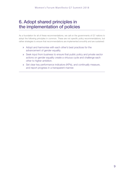## 6. Adopt shared principles in the implementation of policies

As a foundation for all of these recommendations, we call on the governments of G7 nations to adopt the following principles in common. These are not specific policy recommendations, but rather strategies to ensure that recommendations are implemented smoothly and are sustained:

- » Adopt and harmonise with each other's best practices for the advancement of gender equality.
- » Seek input from business to ensure that public policy and private sector actions on gender equality create a virtuous cycle and challenge each other to higher ambition.
- » Set clear key performance indicators (KPIs), and continually measure, and report progress in a transparent manner.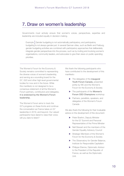## 7. Draw on women's leadership

Governments must actively ensure that women's voices, perspectives, expertise and leadership are included equally in decision-making.

Example | Gender budgeting is not automatically participatory, and participatory budgeting is not always gender-just. In several German cities, such as Berlin and Freiburg, gender budgeting activities are combined with participatory approaches that deliberately integrate gender perspectives into the process, such as by inviting and involving women's organisations, community leaders, and advocates to give their views on public spending priorities.

The Women's Forum for the Economy & Society remains committed to representing the diverse voices of women's leadership, and serving as a sounding board for the G7, G20 and other high-level governmental bodies for now and in the future. While this manifesto is not designed to be a consensus statement of all the Women's Forum partners, contributors and delegates, it is endorsed by the Women's Forum leadership.

The Women's Forum aims to track the G7's progress on these fronts and continue the conversation as France takes on G7 leadership in 2019, and beyond. Our valued participants have dared to raise their voice; will you dare to listen?

We thank the following participants who have contributed to the development of this manifesto:

- $\blacktriangleright$  The delegates of the inaugural Youth Forum Canada, presented jointly by WE and the Women's Forum for the Economy & Society
- $\blacktriangleright$  The participants of the Women's Forum CEO Champions workshop
- **EX Partners, panellists, speakers, and** delegates of the Women's Forum Canada

We also thank the following for their invaluable advice on the development of this document:

- **>** Peter Boehm, Deputy Minister for the G7 Summit and Personal Representative of the Prime Minister
- $\blacktriangleright$  Nell Stewart and the members of the Gender Equality Advisory Council
- $\blacktriangleright$  Strategic Members of the Women's Forum for the Economy & Society
- The Observatory for Gender Balance, Institute for Responsible Capitalism
- **>** Philippe Etienne, Diplomatic Advisor to the President of the Republic of France, as well as the Diplomatic Unit.